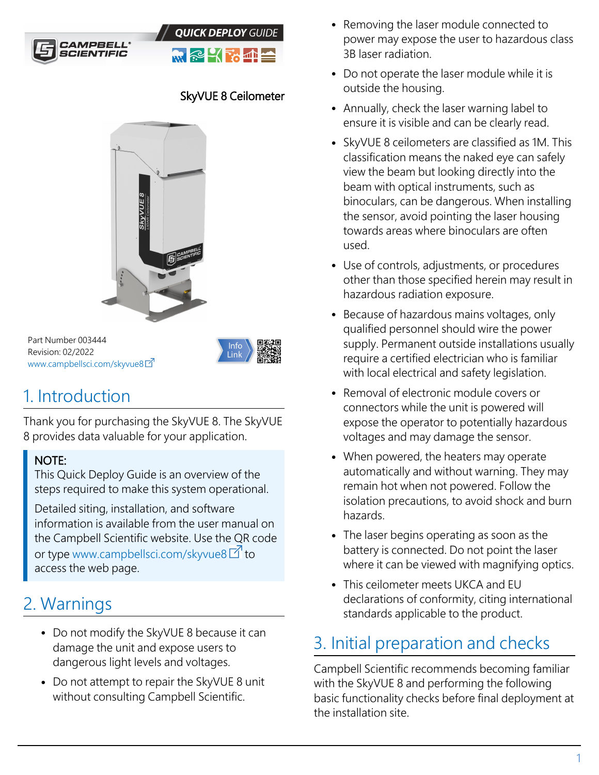



#### SkyVUE 8 Ceilometer



Part Number 003444 Revision: 02/2022 [www.campbellsci.com/skyvue8](https://www.campbellsci.com/skyvue8)



# 1. Introduction

Thank you for purchasing the SkyVUE 8. The SkyVUE 8 provides data valuable for your application.

#### NOTE:

This Quick Deploy Guide is an overview of the steps required to make this system operational.

Detailed siting, installation, and software information is available from the user manual on the Campbell Scientific website. Use the QR code or type [www.campbellsci.com/skyvue8](http://www.campbellsci.com/skyvue8)  $\mathbb{Z}^{\prime}$  to access the web page.

# 2. Warnings

- Do not modify the SkyVUE 8 because it can damage the unit and expose users to dangerous light levels and voltages.
- Do not attempt to repair the SkyVUE 8 unit without consulting Campbell Scientific.
- Removing the laser module connected to power may expose the user to hazardous class 3B laser radiation.
- Do not operate the laser module while it is outside the housing.
- Annually, check the laser warning label to ensure it is visible and can be clearly read.
- SkyVUE 8 ceilometers are classified as 1M. This classification means the naked eye can safely view the beam but looking directly into the beam with optical instruments, such as binoculars, can be dangerous. When installing the sensor, avoid pointing the laser housing towards areas where binoculars are often used.
- Use of controls, adjustments, or procedures other than those specified herein may result in hazardous radiation exposure.
- Because of hazardous mains voltages, only qualified personnel should wire the power supply. Permanent outside installations usually require a certified electrician who is familiar with local electrical and safety legislation.
- Removal of electronic module covers or connectors while the unit is powered will expose the operator to potentially hazardous voltages and may damage the sensor.
- When powered, the heaters may operate automatically and without warning. They may remain hot when not powered. Follow the isolation precautions, to avoid shock and burn hazards.
- The laser begins operating as soon as the battery is connected. Do not point the laser where it can be viewed with magnifying optics.
- This ceilometer meets UKCA and EU declarations of conformity, citing international standards applicable to the product.

# 3. Initial preparation and checks

Campbell Scientific recommends becoming familiar with the SkyVUE 8 and performing the following basic functionality checks before final deployment at the installation site.